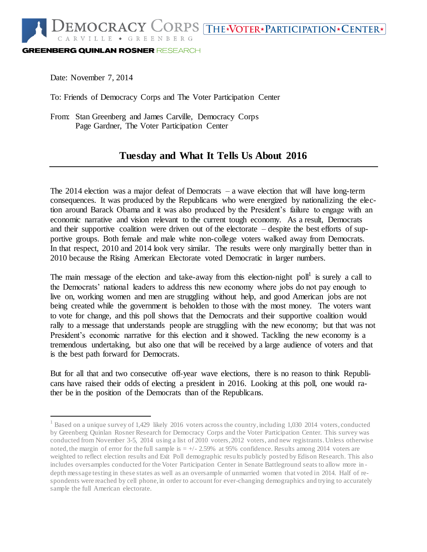**GREENBERG QUINLAN ROSNER RESEARCH** 

Date: November 7, 2014

l

To: Friends of Democracy Corps and The Voter Participation Center

From: Stan Greenberg and James Carville, Democracy Corps Page Gardner, The Voter Participation Center

## **Tuesday and What It Tells Us About 2016**

The 2014 election was a major defeat of Democrats – a wave election that will have long-term consequences. It was produced by the Republicans who were energized by nationalizing the election around Barack Obama and it was also produced by the President's failure to engage with an economic narrative and vision relevant to the current tough economy. As a result, Democrats and their supportive coalition were driven out of the electorate – despite the best efforts of supportive groups. Both female and male white non-college voters walked away from Democrats. In that respect, 2010 and 2014 look very similar. The results were only marginally better than in 2010 because the Rising American Electorate voted Democratic in larger numbers.

The main message of the election and take-away from this election-night poll<sup>1</sup> is surely a call to the Democrats' national leaders to address this new economy where jobs do not pay enough to live on, working women and men are struggling without help, and good American jobs are not being created while the government is beholden to those with the most money. The voters want to vote for change, and this poll shows that the Democrats and their supportive coalition would rally to a message that understands people are struggling with the new economy; but that was not President's economic narrative for this election and it showed. Tackling the new economy is a tremendous undertaking, but also one that will be received by a large audience of voters and that is the best path forward for Democrats.

But for all that and two consecutive off-year wave elections, there is no reason to think Republicans have raised their odds of electing a president in 2016. Looking at this poll, one would rather be in the position of the Democrats than of the Republicans.

<sup>&</sup>lt;sup>1</sup> Based on a unique survey of 1,429 likely 2016 voters across the country, including 1,030 2014 voters, conducted by Greenberg Quinlan Rosner Research for Democracy Corps and the Voter Participation Center. This survey was conducted from November 3-5, 2014 using a list of 2010 voters, 2012 voters, and new registrants. Unless otherwise noted, the margin of error for the full sample is  $= +/2.59\%$  at 95% confidence. Results among 2014 voters are weighted to reflect election results and Exit Poll demographic results publicly posted by Edison Research. This also includes oversamples conducted for the Voter Participation Center in Senate Battleground seats to allow more in depth message testing in these states as well as an oversample of unmarried women that voted in 2014. Half of respondents were reached by cell phone, in order to account for ever-changing demographics and trying to accurately sample the full American electorate.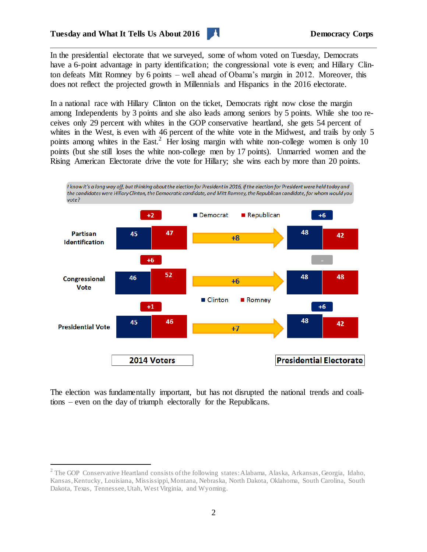

In the presidential electorate that we surveyed, some of whom voted on Tuesday, Democrats have a 6-point advantage in party identification; the congressional vote is even; and Hillary Clinton defeats Mitt Romney by 6 points – well ahead of Obama's margin in 2012. Moreover, this does not reflect the projected growth in Millennials and Hispanics in the 2016 electorate.

In a national race with Hillary Clinton on the ticket, Democrats right now close the margin among Independents by 3 points and she also leads among seniors by 5 points. While she too receives only 29 percent with whites in the GOP conservative heartland, she gets 54 percent of whites in the West, is even with 46 percent of the white vote in the Midwest, and trails by only 5 points among whites in the East.<sup>2</sup> Her losing margin with white non-college women is only 10 points (but she still loses the white non-college men by 17 points). Unmarried women and the Rising American Electorate drive the vote for Hillary; she wins each by more than 20 points.



The election was fundamentally important, but has not disrupted the national trends and coalitions – even on the day of triumph electorally for the Republicans.

l

<sup>&</sup>lt;sup>2</sup> The GOP Conservative Heartland consists of the following states: Alabama, Alaska, Arkansas, Georgia, Idaho, Kansas, Kentucky, Louisiana, Mississippi, Montana, Nebraska, North Dakota, Oklahoma, South Carolina, South Dakota, Texas, Tennessee, Utah, West Virginia, and Wyoming.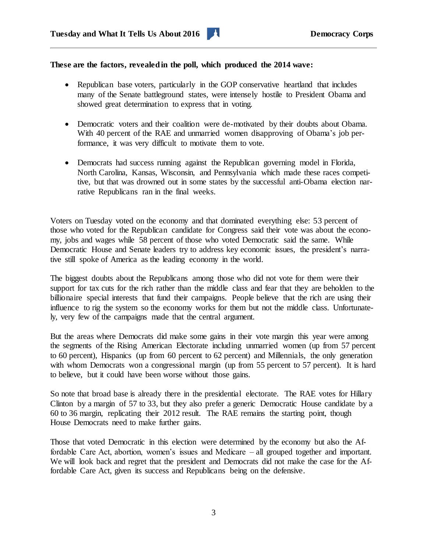## **These are the factors, revealed in the poll, which produced the 2014 wave:**

- Republican base voters, particularly in the GOP conservative heartland that includes many of the Senate battleground states, were intensely hostile to President Obama and showed great determination to express that in voting.
- Democratic voters and their coalition were de-motivated by their doubts about Obama. With 40 percent of the RAE and unmarried women disapproving of Obama's job performance, it was very difficult to motivate them to vote.
- Democrats had success running against the Republican governing model in Florida, North Carolina, Kansas, Wisconsin, and Pennsylvania which made these races competitive, but that was drowned out in some states by the successful anti-Obama election narrative Republicans ran in the final weeks.

Voters on Tuesday voted on the economy and that dominated everything else: 53 percent of those who voted for the Republican candidate for Congress said their vote was about the economy, jobs and wages while 58 percent of those who voted Democratic said the same. While Democratic House and Senate leaders try to address key economic issues, the president's narrative still spoke of America as the leading economy in the world.

The biggest doubts about the Republicans among those who did not vote for them were their support for tax cuts for the rich rather than the middle class and fear that they are beholden to the billionaire special interests that fund their campaigns. People believe that the rich are using their influence to rig the system so the economy works for them but not the middle class. Unfortunately, very few of the campaigns made that the central argument.

But the areas where Democrats did make some gains in their vote margin this year were among the segments of the Rising American Electorate including unmarried women (up from 57 percent to 60 percent), Hispanics (up from 60 percent to 62 percent) and Millennials, the only generation with whom Democrats won a congressional margin (up from 55 percent to 57 percent). It is hard to believe, but it could have been worse without those gains.

So note that broad base is already there in the presidential electorate. The RAE votes for Hillary Clinton by a margin of 57 to 33, but they also prefer a generic Democratic House candidate by a 60 to 36 margin, replicating their 2012 result. The RAE remains the starting point, though House Democrats need to make further gains.

Those that voted Democratic in this election were determined by the economy but also the Affordable Care Act, abortion, women's issues and Medicare – all grouped together and important. We will look back and regret that the president and Democrats did not make the case for the Affordable Care Act, given its success and Republicans being on the defensive.